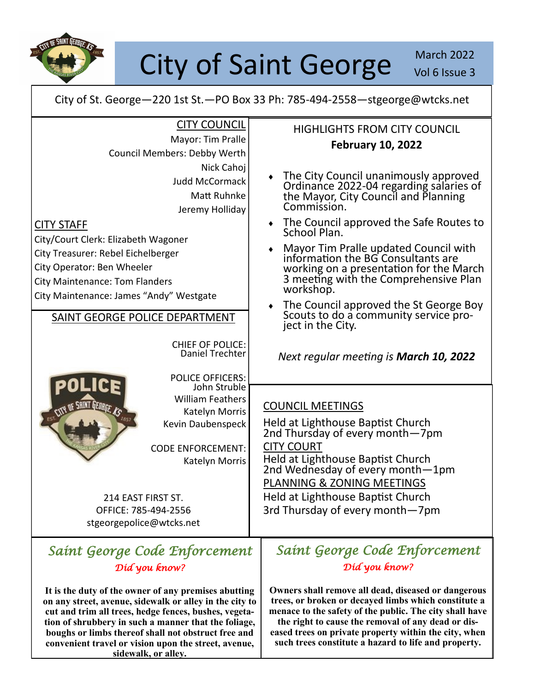

# City of Saint George March 2022

City of St. George—220 1st St.—PO Box 33 Ph: 785-494-2558—stgeorge@wtcks.net

| <b>CITY COUNCIL</b><br>Mayor: Tim Pralle<br>Council Members: Debby Werth                                                                                                                                                                                                                                                    | <b>HIGHLIGHTS FROM CITY COUNCIL</b><br><b>February 10, 2022</b>                                                                                                                                                                                                                                                                                                                                                                                                                              |
|-----------------------------------------------------------------------------------------------------------------------------------------------------------------------------------------------------------------------------------------------------------------------------------------------------------------------------|----------------------------------------------------------------------------------------------------------------------------------------------------------------------------------------------------------------------------------------------------------------------------------------------------------------------------------------------------------------------------------------------------------------------------------------------------------------------------------------------|
| Nick Cahoj<br><b>Judd McCormack</b><br>Matt Ruhnke<br>Jeremy Holliday<br><b>CITY STAFF</b><br>City/Court Clerk: Elizabeth Wagoner<br>City Treasurer: Rebel Eichelberger<br>City Operator: Ben Wheeler<br><b>City Maintenance: Tom Flanders</b><br>City Maintenance: James "Andy" Westgate<br>SAINT GEORGE POLICE DEPARTMENT | The City Council unanimously approved<br>Ordinance 2022-04 regarding salaries of<br>the Mayor, City Council and Planning<br>Commission.<br>• The Council approved the Safe Routes to<br>School Plan.<br>Mayor Tim Pralle updated Council with<br>information the BG Consultants are<br>working on a presentation for the March<br>3 meeting with the Comprehensive Plan<br>workshop.<br>The Council approved the St George Boy<br>Scouts to do a community service pro-<br>ject in the City. |
| <b>CHIEF OF POLICE:</b><br>Daniel Trechter<br><b>POLICE OFFICERS:</b>                                                                                                                                                                                                                                                       | Next regular meeting is <b>March 10, 2022</b>                                                                                                                                                                                                                                                                                                                                                                                                                                                |
| John Struble<br><b>William Feathers</b><br>Katelyn Morris<br>Kevin Daubenspeck<br><b>CODE ENFORCEMENT:</b><br>Katelyn Morris<br>214 EAST FIRST ST.<br>OFFICE: 785-494-2556<br>stgeorgepolice@wtcks.net                                                                                                                      | <b>COUNCIL MEETINGS</b><br>Held at Lighthouse Baptist Church<br>2nd Thursday of every month-7pm<br><b>CITY COURT</b><br>Held at Lighthouse Baptist Church<br>2nd Wednesday of every month-1pm<br>PLANNING & ZONING MEETINGS<br>Held at Lighthouse Baptist Church<br>3rd Thursday of every month-7pm                                                                                                                                                                                          |
| Saint George Code Enforcement<br>Díd you know?                                                                                                                                                                                                                                                                              | Saint George Code Enforcement<br>Díd you know?                                                                                                                                                                                                                                                                                                                                                                                                                                               |
| It is the duty of the owner of any premises abutting<br>on any street, avenue, sidewalk or alley in the city to<br>cut and trim all trees, hedge fences, bushes, vegeta-<br>tion of shrubbery in such a manner that the foliage,<br>boughs or limbs thereof shall not obstruct free and                                     | Owners shall remove all dead, diseased or dangerous<br>trees, or broken or decayed limbs which constitute a<br>menace to the safety of the public. The city shall have<br>the right to cause the removal of any dead or dis-<br>eased trees on private property within the city, when                                                                                                                                                                                                        |

**convenient travel or vision upon the street, avenue, sidewalk, or alley.**

**eased trees on private property within the city, when such trees constitute a hazard to life and property.**